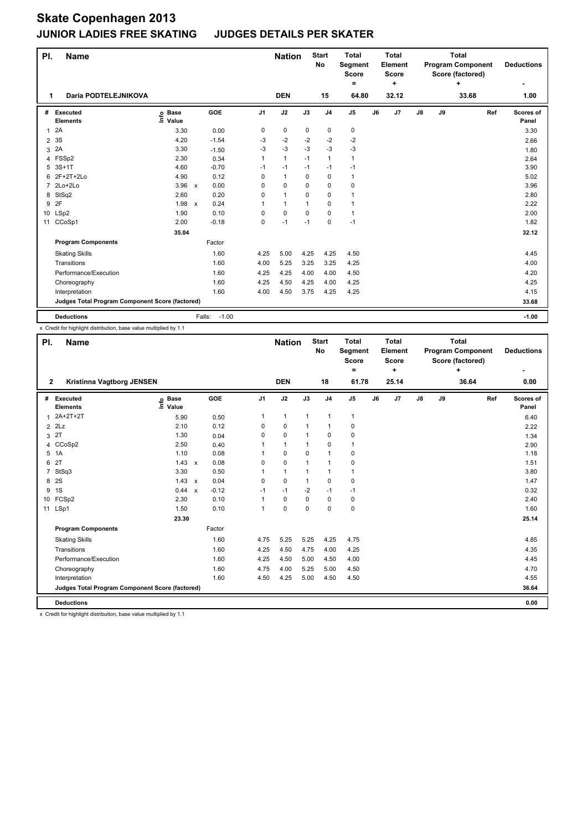# **Skate Copenhagen 2013**

# **JUNIOR LADIES FREE SKATING JUDGES DETAILS PER SKATER**

| PI.            | <b>Name</b>                                     |                            |                                   |          | <b>Nation</b> |             | <b>Start</b><br>No | <b>Total</b><br>Segment<br><b>Score</b> |    | Total<br>Element<br>Score |    |    | <b>Total</b><br><b>Program Component</b><br>Score (factored) |     | <b>Deductions</b>  |
|----------------|-------------------------------------------------|----------------------------|-----------------------------------|----------|---------------|-------------|--------------------|-----------------------------------------|----|---------------------------|----|----|--------------------------------------------------------------|-----|--------------------|
| 1              | Daria PODTELEJNIKOVA                            |                            |                                   |          | <b>DEN</b>    |             | 15                 | $=$<br>64.80                            |    | ÷<br>32.12                |    |    | ٠<br>33.68                                                   |     | 1.00               |
|                |                                                 |                            |                                   |          |               |             |                    |                                         |    |                           |    |    |                                                              |     |                    |
| #              | Executed<br><b>Elements</b>                     | e Base<br>⊆ Value<br>Value | <b>GOE</b>                        | J1       | J2            | J3          | J <sub>4</sub>     | J5                                      | J6 | J7                        | J8 | J9 |                                                              | Ref | Scores of<br>Panel |
| $\mathbf{1}$   | 2A                                              | 3.30                       | 0.00                              | 0        | 0             | 0           | 0                  | 0                                       |    |                           |    |    |                                                              |     | 3.30               |
| $\overline{2}$ | 3S                                              | 4.20                       | $-1.54$                           | -3       | $-2$          | $-2$        | $-2$               | $-2$                                    |    |                           |    |    |                                                              |     | 2.66               |
| 3              | 2A                                              | 3.30                       | $-1.50$                           | -3       | $-3$          | $-3$        | $-3$               | -3                                      |    |                           |    |    |                                                              |     | 1.80               |
| 4              | FSSp2                                           | 2.30                       | 0.34                              | 1        | $\mathbf{1}$  | $-1$        | $\mathbf{1}$       | $\mathbf{1}$                            |    |                           |    |    |                                                              |     | 2.64               |
| 5              | $3S+1T$                                         | 4.60                       | $-0.70$                           | $-1$     | $-1$          | $-1$        | $-1$               | $-1$                                    |    |                           |    |    |                                                              |     | 3.90               |
| 6              | 2F+2T+2Lo                                       | 4.90                       | 0.12                              | $\Omega$ | $\mathbf{1}$  | 0           | 0                  | 1                                       |    |                           |    |    |                                                              |     | 5.02               |
| $\overline{7}$ | 2Lo+2Lo                                         | 3.96                       | 0.00<br>$\boldsymbol{\mathsf{x}}$ | $\Omega$ | 0             | $\Omega$    | 0                  | 0                                       |    |                           |    |    |                                                              |     | 3.96               |
| 8              | StSq2                                           | 2.60                       | 0.20                              | $\Omega$ | $\mathbf{1}$  | 0           | 0                  | 1                                       |    |                           |    |    |                                                              |     | 2.80               |
| 9              | 2F                                              | 1.98                       | 0.24<br>$\boldsymbol{\mathsf{x}}$ |          | $\mathbf{1}$  | $\mathbf 1$ | 0                  | 1                                       |    |                           |    |    |                                                              |     | 2.22               |
| 10             | LSp2                                            | 1.90                       | 0.10                              | $\Omega$ | $\mathbf 0$   | $\Omega$    | $\Omega$           | $\mathbf{1}$                            |    |                           |    |    |                                                              |     | 2.00               |
| 11             | CCoSp1                                          | 2.00                       | $-0.18$                           | 0        | $-1$          | $-1$        | 0                  | $-1$                                    |    |                           |    |    |                                                              |     | 1.82               |
|                |                                                 | 35.04                      |                                   |          |               |             |                    |                                         |    |                           |    |    |                                                              |     | 32.12              |
|                | <b>Program Components</b>                       |                            | Factor                            |          |               |             |                    |                                         |    |                           |    |    |                                                              |     |                    |
|                | <b>Skating Skills</b>                           |                            | 1.60                              | 4.25     | 5.00          | 4.25        | 4.25               | 4.50                                    |    |                           |    |    |                                                              |     | 4.45               |
|                | Transitions                                     |                            | 1.60                              | 4.00     | 5.25          | 3.25        | 3.25               | 4.25                                    |    |                           |    |    |                                                              |     | 4.00               |
|                | Performance/Execution                           |                            | 1.60                              | 4.25     | 4.25          | 4.00        | 4.00               | 4.50                                    |    |                           |    |    |                                                              |     | 4.20               |
|                | Choreography                                    |                            | 1.60                              | 4.25     | 4.50          | 4.25        | 4.00               | 4.25                                    |    |                           |    |    |                                                              |     | 4.25               |
|                | Interpretation                                  |                            | 1.60                              | 4.00     | 4.50          | 3.75        | 4.25               | 4.25                                    |    |                           |    |    |                                                              |     | 4.15               |
|                | Judges Total Program Component Score (factored) |                            |                                   |          |               |             |                    |                                         |    |                           |    |    |                                                              |     | 33.68              |
|                | <b>Deductions</b>                               |                            | $-1.00$<br>Falls:                 |          |               |             |                    |                                         |    |                           |    |    |                                                              |     | $-1.00$            |

x Credit for highlight distribution, base value multiplied by 1.1

| PI.            | <b>Name</b>                                     |                            |         |                | <b>Nation</b> |              | <b>Start</b><br>No | <b>Total</b><br>Segment<br><b>Score</b><br>۰ |    | <b>Total</b><br>Element<br><b>Score</b><br>÷ |               |    | <b>Total</b><br><b>Program Component</b><br>Score (factored)<br>÷ |     | <b>Deductions</b>  |
|----------------|-------------------------------------------------|----------------------------|---------|----------------|---------------|--------------|--------------------|----------------------------------------------|----|----------------------------------------------|---------------|----|-------------------------------------------------------------------|-----|--------------------|
| $\mathbf{2}$   | Kristinna Vagtborg JENSEN                       |                            |         |                | <b>DEN</b>    |              | 18                 | 61.78                                        |    | 25.14                                        |               |    | 36.64                                                             |     | 0.00               |
|                | # Executed<br><b>Elements</b>                   | e Base<br>E Value<br>Value | GOE     | J <sub>1</sub> | J2            | J3           | J <sub>4</sub>     | J5                                           | J6 | J <sub>7</sub>                               | $\mathsf{J}8$ | J9 |                                                                   | Ref | Scores of<br>Panel |
|                | 1 2A+2T+2T                                      | 5.90                       | 0.50    | 1              | $\mathbf{1}$  | $\mathbf{1}$ | $\mathbf{1}$       | $\mathbf{1}$                                 |    |                                              |               |    |                                                                   |     | 6.40               |
|                | $2$ $2Lz$                                       | 2.10                       | 0.12    | 0              | 0             | 1            | $\mathbf{1}$       | 0                                            |    |                                              |               |    |                                                                   |     | 2.22               |
|                | 3 <sup>2</sup>                                  | 1.30                       | 0.04    | $\Omega$       | 0             | 1            | $\mathbf 0$        | 0                                            |    |                                              |               |    |                                                                   |     | 1.34               |
|                | 4 CCoSp2                                        | 2.50                       | 0.40    | 1              | $\mathbf{1}$  | $\mathbf{1}$ | 0                  | $\mathbf{1}$                                 |    |                                              |               |    |                                                                   |     | 2.90               |
|                | 5 1A                                            | 1.10                       | 0.08    | 1              | $\Omega$      | $\Omega$     | $\mathbf{1}$       | 0                                            |    |                                              |               |    |                                                                   |     | 1.18               |
| 6              | 2T                                              | $1.43 \times$              | 0.08    | $\Omega$       | 0             | 1            | $\mathbf{1}$       | 0                                            |    |                                              |               |    |                                                                   |     | 1.51               |
| $\overline{7}$ | StSq3                                           | 3.30                       | 0.50    | 1              | $\mathbf{1}$  | 1            | $\mathbf{1}$       | 1                                            |    |                                              |               |    |                                                                   |     | 3.80               |
|                | 8 2S                                            | $1.43 \times$              | 0.04    | 0              | 0             | $\mathbf{1}$ | 0                  | 0                                            |    |                                              |               |    |                                                                   |     | 1.47               |
|                | 9 1S                                            | 0.44 x                     | $-0.12$ | $-1$           | $-1$          | $-2$         | $-1$               | $-1$                                         |    |                                              |               |    |                                                                   |     | 0.32               |
|                | 10 FCSp2                                        | 2.30                       | 0.10    | 1              | 0             | $\Omega$     | 0                  | 0                                            |    |                                              |               |    |                                                                   |     | 2.40               |
|                | 11 LSp1                                         | 1.50                       | 0.10    | 1              | 0             | $\Omega$     | 0                  | 0                                            |    |                                              |               |    |                                                                   |     | 1.60               |
|                |                                                 | 23.30                      |         |                |               |              |                    |                                              |    |                                              |               |    |                                                                   |     | 25.14              |
|                | <b>Program Components</b>                       |                            | Factor  |                |               |              |                    |                                              |    |                                              |               |    |                                                                   |     |                    |
|                | <b>Skating Skills</b>                           |                            | 1.60    | 4.75           | 5.25          | 5.25         | 4.25               | 4.75                                         |    |                                              |               |    |                                                                   |     | 4.85               |
|                | Transitions                                     |                            | 1.60    | 4.25           | 4.50          | 4.75         | 4.00               | 4.25                                         |    |                                              |               |    |                                                                   |     | 4.35               |
|                | Performance/Execution                           |                            | 1.60    | 4.25           | 4.50          | 5.00         | 4.50               | 4.00                                         |    |                                              |               |    |                                                                   |     | 4.45               |
|                | Choreography                                    |                            | 1.60    | 4.75           | 4.00          | 5.25         | 5.00               | 4.50                                         |    |                                              |               |    |                                                                   |     | 4.70               |
|                | Interpretation                                  |                            | 1.60    | 4.50           | 4.25          | 5.00         | 4.50               | 4.50                                         |    |                                              |               |    |                                                                   |     | 4.55               |
|                | Judges Total Program Component Score (factored) |                            |         |                |               |              |                    |                                              |    |                                              |               |    |                                                                   |     | 36.64              |
|                | <b>Deductions</b>                               |                            |         |                |               |              |                    |                                              |    |                                              |               |    |                                                                   |     | 0.00               |

x Credit for highlight distribution, base value multiplied by 1.1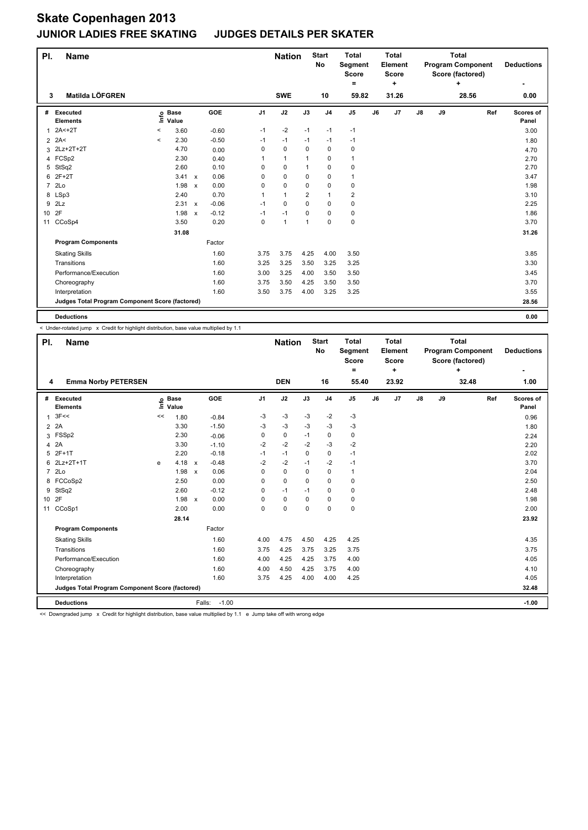| PI.             | Name                                            |         |                            |              |            |                | <b>Nation</b> |                | <b>Start</b><br><b>No</b> | <b>Total</b><br>Segment<br><b>Score</b><br>۰ |    | <b>Total</b><br>Element<br><b>Score</b><br>÷ |               |    | <b>Total</b><br><b>Program Component</b><br>Score (factored)<br>÷ |     | <b>Deductions</b>  |
|-----------------|-------------------------------------------------|---------|----------------------------|--------------|------------|----------------|---------------|----------------|---------------------------|----------------------------------------------|----|----------------------------------------------|---------------|----|-------------------------------------------------------------------|-----|--------------------|
| 3               | Matilda LÖFGREN                                 |         |                            |              |            |                | <b>SWE</b>    |                | 10                        | 59.82                                        |    | 31.26                                        |               |    | 28.56                                                             |     | 0.00               |
| #               | Executed<br><b>Elements</b>                     |         | e Base<br>E Value<br>Value |              | <b>GOE</b> | J <sub>1</sub> | J2            | J3             | J <sub>4</sub>            | $\mathsf{J}5$                                | J6 | J <sub>7</sub>                               | $\mathsf{J}8$ | J9 |                                                                   | Ref | Scores of<br>Panel |
| 1               | $2A2 + 2T$                                      | $\,<\,$ | 3.60                       |              | $-0.60$    | $-1$           | -2            | $-1$           | $-1$                      | $-1$                                         |    |                                              |               |    |                                                                   |     | 3.00               |
|                 | $2$ 2A<                                         | $\prec$ | 2.30                       |              | $-0.50$    | $-1$           | $-1$          | $-1$           | $-1$                      | $-1$                                         |    |                                              |               |    |                                                                   |     | 1.80               |
|                 | 3 2Lz+2T+2T                                     |         | 4.70                       |              | 0.00       | 0              | $\mathbf 0$   | $\Omega$       | $\mathbf 0$               | 0                                            |    |                                              |               |    |                                                                   |     | 4.70               |
| 4               | FCSp2                                           |         | 2.30                       |              | 0.40       | 1              | $\mathbf{1}$  | 1              | 0                         | $\mathbf{1}$                                 |    |                                              |               |    |                                                                   |     | 2.70               |
| 5               | StSq2                                           |         | 2.60                       |              | 0.10       | 0              | $\mathbf 0$   | $\mathbf{1}$   | $\mathbf 0$               | $\mathbf 0$                                  |    |                                              |               |    |                                                                   |     | 2.70               |
| 6               | 2F+2T                                           |         | 3.41 x                     |              | 0.06       | 0              | $\mathbf 0$   | $\Omega$       | $\mathbf 0$               | $\mathbf{1}$                                 |    |                                              |               |    |                                                                   |     | 3.47               |
| $\overline{7}$  | 2 <sub>LO</sub>                                 |         | 1.98                       | $\mathsf{x}$ | 0.00       | 0              | $\mathbf 0$   | $\Omega$       | 0                         | 0                                            |    |                                              |               |    |                                                                   |     | 1.98               |
|                 | 8 LSp3                                          |         | 2.40                       |              | 0.70       | 1              | $\mathbf{1}$  | $\overline{2}$ | $\mathbf{1}$              | 2                                            |    |                                              |               |    |                                                                   |     | 3.10               |
| 9               | 2Lz                                             |         | 2.31                       | $\mathsf{x}$ | $-0.06$    | $-1$           | $\mathbf 0$   | $\Omega$       | $\mathbf 0$               | $\mathbf 0$                                  |    |                                              |               |    |                                                                   |     | 2.25               |
| 10 <sup>°</sup> | 2F                                              |         | 1.98                       | $\mathsf{x}$ | $-0.12$    | $-1$           | $-1$          | $\Omega$       | $\mathbf 0$               | 0                                            |    |                                              |               |    |                                                                   |     | 1.86               |
| 11              | CCoSp4                                          |         | 3.50                       |              | 0.20       | 0              | $\mathbf{1}$  | $\mathbf{1}$   | 0                         | 0                                            |    |                                              |               |    |                                                                   |     | 3.70               |
|                 |                                                 |         | 31.08                      |              |            |                |               |                |                           |                                              |    |                                              |               |    |                                                                   |     | 31.26              |
|                 | <b>Program Components</b>                       |         |                            |              | Factor     |                |               |                |                           |                                              |    |                                              |               |    |                                                                   |     |                    |
|                 | <b>Skating Skills</b>                           |         |                            |              | 1.60       | 3.75           | 3.75          | 4.25           | 4.00                      | 3.50                                         |    |                                              |               |    |                                                                   |     | 3.85               |
|                 | Transitions                                     |         |                            |              | 1.60       | 3.25           | 3.25          | 3.50           | 3.25                      | 3.25                                         |    |                                              |               |    |                                                                   |     | 3.30               |
|                 | Performance/Execution                           |         |                            |              | 1.60       | 3.00           | 3.25          | 4.00           | 3.50                      | 3.50                                         |    |                                              |               |    |                                                                   |     | 3.45               |
|                 | Choreography                                    |         |                            |              | 1.60       | 3.75           | 3.50          | 4.25           | 3.50                      | 3.50                                         |    |                                              |               |    |                                                                   |     | 3.70               |
|                 | Interpretation                                  |         |                            |              | 1.60       | 3.50           | 3.75          | 4.00           | 3.25                      | 3.25                                         |    |                                              |               |    |                                                                   |     | 3.55               |
|                 | Judges Total Program Component Score (factored) |         |                            |              |            |                |               |                |                           |                                              |    |                                              |               |    |                                                                   |     | 28.56              |
|                 | <b>Deductions</b>                               |         |                            |              |            |                |               |                |                           |                                              |    |                                              |               |    |                                                                   |     | 0.00               |

< Under-rotated jump x Credit for highlight distribution, base value multiplied by 1.1

| PI.            | <b>Name</b>                                     |    |                            |              |         |                | <b>Nation</b> |          | <b>Start</b><br>No | <b>Total</b><br>Segment<br><b>Score</b><br>$=$ |    | <b>Total</b><br>Element<br><b>Score</b><br>٠ |               |    | <b>Total</b><br><b>Program Component</b><br>Score (factored)<br>÷ |     | <b>Deductions</b>  |
|----------------|-------------------------------------------------|----|----------------------------|--------------|---------|----------------|---------------|----------|--------------------|------------------------------------------------|----|----------------------------------------------|---------------|----|-------------------------------------------------------------------|-----|--------------------|
| 4              | <b>Emma Norby PETERSEN</b>                      |    |                            |              |         |                | <b>DEN</b>    |          | 16                 | 55.40                                          |    | 23.92                                        |               |    | 32.48                                                             |     | 1.00               |
|                | # Executed<br><b>Elements</b>                   |    | e Base<br>E Value<br>Value |              | GOE     | J <sub>1</sub> | J2            | J3       | J <sub>4</sub>     | J <sub>5</sub>                                 | J6 | J7                                           | $\mathsf{J}8$ | J9 |                                                                   | Ref | Scores of<br>Panel |
| $\mathbf{1}$   | 3F<<                                            | << | 1.80                       |              | $-0.84$ | $-3$           | $-3$          | $-3$     | $-2$               | $-3$                                           |    |                                              |               |    |                                                                   |     | 0.96               |
|                | $2^2$                                           |    | 3.30                       |              | $-1.50$ | $-3$           | $-3$          | $-3$     | $-3$               | $-3$                                           |    |                                              |               |    |                                                                   |     | 1.80               |
| 3              | FSSp2                                           |    | 2.30                       |              | $-0.06$ | 0              | 0             | $-1$     | 0                  | 0                                              |    |                                              |               |    |                                                                   |     | 2.24               |
| 4              | 2A                                              |    | 3.30                       |              | $-1.10$ | $-2$           | $-2$          | $-2$     | $-3$               | $-2$                                           |    |                                              |               |    |                                                                   |     | 2.20               |
| 5              | $2F+1T$                                         |    | 2.20                       |              | $-0.18$ | $-1$           | $-1$          | $\Omega$ | 0                  | $-1$                                           |    |                                              |               |    |                                                                   |     | 2.02               |
| 6              | 2Lz+2T+1T                                       | e  | 4.18 $x$                   |              | $-0.48$ | $-2$           | $-2$          | $-1$     | $-2$               | $-1$                                           |    |                                              |               |    |                                                                   |     | 3.70               |
| $\overline{7}$ | 2 <sub>LO</sub>                                 |    | 1.98                       | $\mathsf{x}$ | 0.06    | 0              | $\mathbf 0$   | $\Omega$ | $\mathbf 0$        | 1                                              |    |                                              |               |    |                                                                   |     | 2.04               |
| 8              | FCCoSp2                                         |    | 2.50                       |              | 0.00    | 0              | 0             | 0        | $\mathbf 0$        | 0                                              |    |                                              |               |    |                                                                   |     | 2.50               |
| 9              | StSq2                                           |    | 2.60                       |              | $-0.12$ | 0              | $-1$          | $-1$     | $\mathbf 0$        | 0                                              |    |                                              |               |    |                                                                   |     | 2.48               |
| 10 2F          |                                                 |    | 1.98 x                     |              | 0.00    | 0              | $\mathbf 0$   | 0        | $\mathbf 0$        | 0                                              |    |                                              |               |    |                                                                   |     | 1.98               |
|                | 11 CCoSp1                                       |    | 2.00                       |              | 0.00    | $\Omega$       | $\mathbf 0$   | $\Omega$ | $\mathbf 0$        | 0                                              |    |                                              |               |    |                                                                   |     | 2.00               |
|                |                                                 |    | 28.14                      |              |         |                |               |          |                    |                                                |    |                                              |               |    |                                                                   |     | 23.92              |
|                | <b>Program Components</b>                       |    |                            |              | Factor  |                |               |          |                    |                                                |    |                                              |               |    |                                                                   |     |                    |
|                | <b>Skating Skills</b>                           |    |                            |              | 1.60    | 4.00           | 4.75          | 4.50     | 4.25               | 4.25                                           |    |                                              |               |    |                                                                   |     | 4.35               |
|                | Transitions                                     |    |                            |              | 1.60    | 3.75           | 4.25          | 3.75     | 3.25               | 3.75                                           |    |                                              |               |    |                                                                   |     | 3.75               |
|                | Performance/Execution                           |    |                            |              | 1.60    | 4.00           | 4.25          | 4.25     | 3.75               | 4.00                                           |    |                                              |               |    |                                                                   |     | 4.05               |
|                | Choreography                                    |    |                            |              | 1.60    | 4.00           | 4.50          | 4.25     | 3.75               | 4.00                                           |    |                                              |               |    |                                                                   |     | 4.10               |
|                | Interpretation                                  |    |                            |              | 1.60    | 3.75           | 4.25          | 4.00     | 4.00               | 4.25                                           |    |                                              |               |    |                                                                   |     | 4.05               |
|                | Judges Total Program Component Score (factored) |    |                            |              |         |                |               |          |                    |                                                |    |                                              |               |    |                                                                   |     | 32.48              |
|                | <b>Deductions</b>                               |    |                            | Falls:       | $-1.00$ |                |               |          |                    |                                                |    |                                              |               |    |                                                                   |     | $-1.00$            |

<< Downgraded jump x Credit for highlight distribution, base value multiplied by 1.1 e Jump take off with wrong edge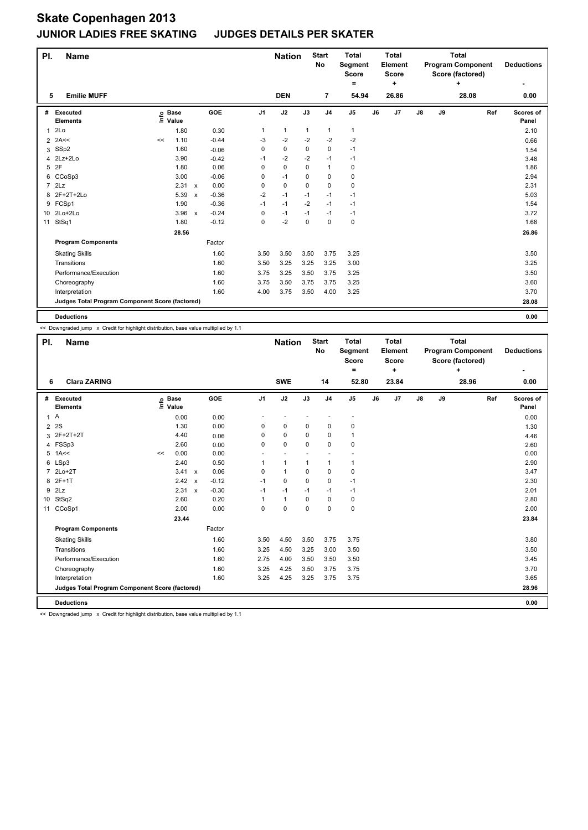| PI.            | <b>Name</b>                                     |    |                            |                           |         |                | <b>Nation</b> |             | <b>Start</b><br><b>No</b> | <b>Total</b><br>Segment<br><b>Score</b><br>Ξ. |    | <b>Total</b><br>Element<br><b>Score</b><br>٠ |               |    | <b>Total</b><br><b>Program Component</b><br>Score (factored)<br>÷ |     | <b>Deductions</b>  |
|----------------|-------------------------------------------------|----|----------------------------|---------------------------|---------|----------------|---------------|-------------|---------------------------|-----------------------------------------------|----|----------------------------------------------|---------------|----|-------------------------------------------------------------------|-----|--------------------|
| 5              | <b>Emilie MUFF</b>                              |    |                            |                           |         |                | <b>DEN</b>    |             | $\overline{7}$            | 54.94                                         |    | 26.86                                        |               |    | 28.08                                                             |     | 0.00               |
| #              | Executed<br><b>Elements</b>                     |    | e Base<br>⊆ Value<br>Value |                           | GOE     | J <sub>1</sub> | J2            | J3          | J <sub>4</sub>            | $\mathsf{J}5$                                 | J6 | J <sub>7</sub>                               | $\mathsf{J}8$ | J9 |                                                                   | Ref | Scores of<br>Panel |
| $\mathbf{1}$   | 2Lo                                             |    | 1.80                       |                           | 0.30    | 1              | $\mathbf{1}$  | 1           | 1                         | $\mathbf{1}$                                  |    |                                              |               |    |                                                                   |     | 2.10               |
| $\overline{2}$ | 2A<<                                            | << | 1.10                       |                           | $-0.44$ | -3             | $-2$          | $-2$        | $-2$                      | $-2$                                          |    |                                              |               |    |                                                                   |     | 0.66               |
| 3              | SSp2                                            |    | 1.60                       |                           | $-0.06$ | 0              | $\pmb{0}$     | 0           | $\pmb{0}$                 | $-1$                                          |    |                                              |               |    |                                                                   |     | 1.54               |
| 4              | 2Lz+2Lo                                         |    | 3.90                       |                           | $-0.42$ | $-1$           | $-2$          | $-2$        | $-1$                      | $-1$                                          |    |                                              |               |    |                                                                   |     | 3.48               |
| 5              | 2F                                              |    | 1.80                       |                           | 0.06    | 0              | $\mathbf 0$   | 0           | $\mathbf{1}$              | 0                                             |    |                                              |               |    |                                                                   |     | 1.86               |
|                | 6 CCoSp3                                        |    | 3.00                       |                           | $-0.06$ | 0              | $-1$          | $\Omega$    | $\mathbf 0$               | $\mathbf 0$                                   |    |                                              |               |    |                                                                   |     | 2.94               |
| $\overline{7}$ | 2Lz                                             |    | 2.31                       | $\mathbf{x}$              | 0.00    | 0              | $\pmb{0}$     | $\mathbf 0$ | $\pmb{0}$                 | 0                                             |    |                                              |               |    |                                                                   |     | 2.31               |
| 8              | 2F+2T+2Lo                                       |    | 5.39                       | $\boldsymbol{\mathsf{x}}$ | $-0.36$ | $-2$           | $-1$          | $-1$        | $-1$                      | $-1$                                          |    |                                              |               |    |                                                                   |     | 5.03               |
|                | 9 FCSp1                                         |    | 1.90                       |                           | $-0.36$ | $-1$           | $-1$          | $-2$        | $-1$                      | $-1$                                          |    |                                              |               |    |                                                                   |     | 1.54               |
|                | 10 2Lo+2Lo                                      |    | 3.96                       | $\mathbf{x}$              | $-0.24$ | $\mathbf 0$    | $-1$          | $-1$        | $-1$                      | $-1$                                          |    |                                              |               |    |                                                                   |     | 3.72               |
| 11             | StSq1                                           |    | 1.80                       |                           | $-0.12$ | 0              | $-2$          | $\mathbf 0$ | $\mathbf 0$               | 0                                             |    |                                              |               |    |                                                                   |     | 1.68               |
|                |                                                 |    | 28.56                      |                           |         |                |               |             |                           |                                               |    |                                              |               |    |                                                                   |     | 26.86              |
|                | <b>Program Components</b>                       |    |                            |                           | Factor  |                |               |             |                           |                                               |    |                                              |               |    |                                                                   |     |                    |
|                | <b>Skating Skills</b>                           |    |                            |                           | 1.60    | 3.50           | 3.50          | 3.50        | 3.75                      | 3.25                                          |    |                                              |               |    |                                                                   |     | 3.50               |
|                | Transitions                                     |    |                            |                           | 1.60    | 3.50           | 3.25          | 3.25        | 3.25                      | 3.00                                          |    |                                              |               |    |                                                                   |     | 3.25               |
|                | Performance/Execution                           |    |                            |                           | 1.60    | 3.75           | 3.25          | 3.50        | 3.75                      | 3.25                                          |    |                                              |               |    |                                                                   |     | 3.50               |
|                | Choreography                                    |    |                            |                           | 1.60    | 3.75           | 3.50          | 3.75        | 3.75                      | 3.25                                          |    |                                              |               |    |                                                                   |     | 3.60               |
|                | Interpretation                                  |    |                            |                           | 1.60    | 4.00           | 3.75          | 3.50        | 4.00                      | 3.25                                          |    |                                              |               |    |                                                                   |     | 3.70               |
|                | Judges Total Program Component Score (factored) |    |                            |                           |         |                |               |             |                           |                                               |    |                                              |               |    |                                                                   |     | 28.08              |
|                | <b>Deductions</b>                               |    |                            |                           |         |                |               |             |                           |                                               |    |                                              |               |    |                                                                   |     | 0.00               |

<< Downgraded jump x Credit for highlight distribution, base value multiplied by 1.1

| PI.             | <b>Name</b>                                     |      |                      |              |         |             | <b>Nation</b>            |              | <b>Start</b><br><b>No</b> | <b>Total</b><br>Segment<br><b>Score</b> |    | <b>Total</b><br><b>Element</b><br><b>Score</b> |               |    | <b>Total</b><br><b>Program Component</b><br>Score (factored) |     | <b>Deductions</b>  |
|-----------------|-------------------------------------------------|------|----------------------|--------------|---------|-------------|--------------------------|--------------|---------------------------|-----------------------------------------|----|------------------------------------------------|---------------|----|--------------------------------------------------------------|-----|--------------------|
| 6               | <b>Clara ZARING</b>                             |      |                      |              |         |             | <b>SWE</b>               |              | 14                        | $=$<br>52.80                            |    | ÷<br>23.84                                     |               |    | ÷<br>28.96                                                   |     | ٠<br>0.00          |
|                 |                                                 |      |                      |              |         |             |                          |              |                           |                                         |    |                                                |               |    |                                                              |     |                    |
| #               | Executed<br><b>Elements</b>                     | ١nf٥ | <b>Base</b><br>Value |              | GOE     | J1          | J2                       | J3           | J <sub>4</sub>            | J <sub>5</sub>                          | J6 | J7                                             | $\mathsf{J}8$ | J9 |                                                              | Ref | Scores of<br>Panel |
| 1A              |                                                 |      | 0.00                 |              | 0.00    |             | $\overline{\phantom{a}}$ |              | $\overline{\phantom{a}}$  | $\overline{\phantom{a}}$                |    |                                                |               |    |                                                              |     | 0.00               |
| $\overline{2}$  | 2S                                              |      | 1.30                 |              | 0.00    | 0           | $\mathbf 0$              | 0            | $\mathbf 0$               | 0                                       |    |                                                |               |    |                                                              |     | 1.30               |
| 3               | 2F+2T+2T                                        |      | 4.40                 |              | 0.06    | 0           | 0                        | 0            | $\mathbf 0$               | 1                                       |    |                                                |               |    |                                                              |     | 4.46               |
| 4               | FSSp3                                           |      | 2.60                 |              | 0.00    | 0           | $\mathbf 0$              | $\mathbf 0$  | $\mathbf 0$               | 0                                       |    |                                                |               |    |                                                              |     | 2.60               |
|                 | $5$ 1A $\leq$                                   | <<   | 0.00                 |              | 0.00    |             |                          |              | $\sim$                    |                                         |    |                                                |               |    |                                                              |     | 0.00               |
| 6               | LSp3                                            |      | 2.40                 |              | 0.50    | 1           | $\mathbf{1}$             | $\mathbf{1}$ | 1                         | 1                                       |    |                                                |               |    |                                                              |     | 2.90               |
| $\overline{7}$  | $2Lo+2T$                                        |      | 3.41                 | $\mathsf{x}$ | 0.06    | $\Omega$    | $\mathbf{1}$             | 0            | $\mathbf 0$               | 0                                       |    |                                                |               |    |                                                              |     | 3.47               |
| 8               | $2F+1T$                                         |      | 2.42                 | $\mathsf{x}$ | $-0.12$ | $-1$        | 0                        | $\Omega$     | 0                         | $-1$                                    |    |                                                |               |    |                                                              |     | 2.30               |
| 9               | 2Lz                                             |      | 2.31 x               |              | $-0.30$ | $-1$        | $-1$                     | $-1$         | $-1$                      | $-1$                                    |    |                                                |               |    |                                                              |     | 2.01               |
| 10 <sup>1</sup> | StSq2                                           |      | 2.60                 |              | 0.20    | 1           | $\mathbf{1}$             | 0            | $\Omega$                  | 0                                       |    |                                                |               |    |                                                              |     | 2.80               |
| 11              | CCoSp1                                          |      | 2.00                 |              | 0.00    | $\mathbf 0$ | $\mathbf 0$              | $\mathbf 0$  | $\mathbf 0$               | 0                                       |    |                                                |               |    |                                                              |     | 2.00               |
|                 |                                                 |      | 23.44                |              |         |             |                          |              |                           |                                         |    |                                                |               |    |                                                              |     | 23.84              |
|                 | <b>Program Components</b>                       |      |                      |              | Factor  |             |                          |              |                           |                                         |    |                                                |               |    |                                                              |     |                    |
|                 | <b>Skating Skills</b>                           |      |                      |              | 1.60    | 3.50        | 4.50                     | 3.50         | 3.75                      | 3.75                                    |    |                                                |               |    |                                                              |     | 3.80               |
|                 | Transitions                                     |      |                      |              | 1.60    | 3.25        | 4.50                     | 3.25         | 3.00                      | 3.50                                    |    |                                                |               |    |                                                              |     | 3.50               |
|                 | Performance/Execution                           |      |                      |              | 1.60    | 2.75        | 4.00                     | 3.50         | 3.50                      | 3.50                                    |    |                                                |               |    |                                                              |     | 3.45               |
|                 | Choreography                                    |      |                      |              | 1.60    | 3.25        | 4.25                     | 3.50         | 3.75                      | 3.75                                    |    |                                                |               |    |                                                              |     | 3.70               |
|                 | Interpretation                                  |      |                      |              | 1.60    | 3.25        | 4.25                     | 3.25         | 3.75                      | 3.75                                    |    |                                                |               |    |                                                              |     | 3.65               |
|                 | Judges Total Program Component Score (factored) |      |                      |              |         |             |                          |              |                           |                                         |    |                                                |               |    |                                                              |     | 28.96              |
|                 | <b>Deductions</b>                               |      |                      |              |         |             |                          |              |                           |                                         |    |                                                |               |    |                                                              |     | 0.00               |

<< Downgraded jump x Credit for highlight distribution, base value multiplied by 1.1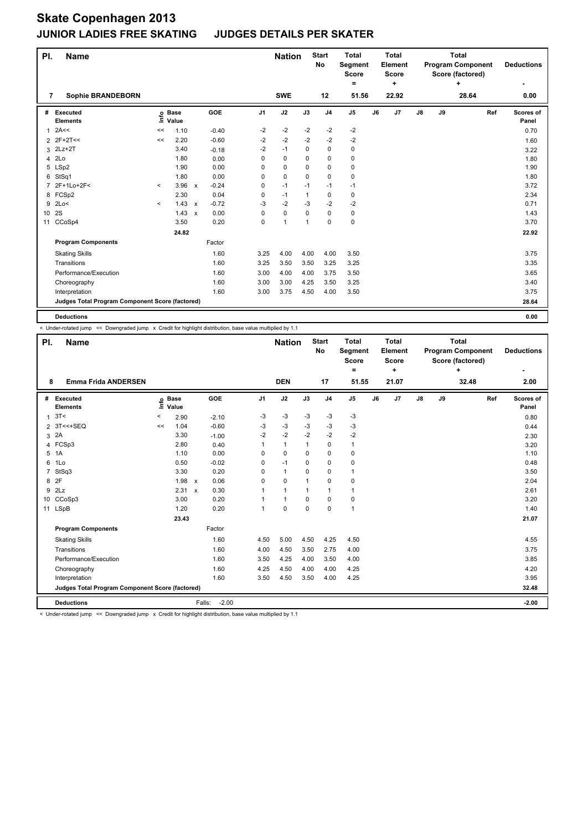| PI.             | Name                                            |         |                            |                           |         |                | <b>Nation</b> |              | <b>Start</b><br><b>No</b> | <b>Total</b><br>Segment<br>Score<br>Ξ. |    | <b>Total</b><br>Element<br>Score<br>٠ |               |    | <b>Total</b><br><b>Program Component</b><br>Score (factored)<br>÷ |     | <b>Deductions</b>  |
|-----------------|-------------------------------------------------|---------|----------------------------|---------------------------|---------|----------------|---------------|--------------|---------------------------|----------------------------------------|----|---------------------------------------|---------------|----|-------------------------------------------------------------------|-----|--------------------|
| 7               | <b>Sophie BRANDEBORN</b>                        |         |                            |                           |         |                | <b>SWE</b>    |              | 12                        | 51.56                                  |    | 22.92                                 |               |    | 28.64                                                             |     | 0.00               |
| #               | Executed<br><b>Elements</b>                     |         | e Base<br>⊆ Value<br>Value |                           | GOE     | J <sub>1</sub> | J2            | J3           | J <sub>4</sub>            | J5                                     | J6 | J <sub>7</sub>                        | $\mathsf{J}8$ | J9 |                                                                   | Ref | Scores of<br>Panel |
| 1               | 2A<<                                            | <<      | 1.10                       |                           | $-0.40$ | $-2$           | -2            | $-2$         | $-2$                      | $-2$                                   |    |                                       |               |    |                                                                   |     | 0.70               |
|                 | 2 2F+2T<<                                       | <<      | 2.20                       |                           | $-0.60$ | $-2$           | $-2$          | $-2$         | $-2$                      | $-2$                                   |    |                                       |               |    |                                                                   |     | 1.60               |
| 3               | $2Lz+2T$                                        |         | 3.40                       |                           | $-0.18$ | $-2$           | $-1$          | $\mathbf 0$  | $\pmb{0}$                 | 0                                      |    |                                       |               |    |                                                                   |     | 3.22               |
| 4               | 2Lo                                             |         | 1.80                       |                           | 0.00    | 0              | $\mathbf 0$   | 0            | 0                         | 0                                      |    |                                       |               |    |                                                                   |     | 1.80               |
| 5               | LSp2                                            |         | 1.90                       |                           | 0.00    | 0              | 0             | 0            | 0                         | 0                                      |    |                                       |               |    |                                                                   |     | 1.90               |
| 6               | StSq1                                           |         | 1.80                       |                           | 0.00    | 0              | $\mathbf 0$   | $\Omega$     | $\mathbf 0$               | $\mathbf 0$                            |    |                                       |               |    |                                                                   |     | 1.80               |
| $\overline{7}$  | 2F+1Lo+2F<                                      | $\prec$ | 3.96                       | $\mathsf{x}$              | $-0.24$ | 0              | $-1$          | $-1$         | $-1$                      | $-1$                                   |    |                                       |               |    |                                                                   |     | 3.72               |
|                 | 8 FCSp2                                         |         | 2.30                       |                           | 0.04    | 0              | $-1$          | $\mathbf{1}$ | $\mathbf 0$               | $\mathbf 0$                            |    |                                       |               |    |                                                                   |     | 2.34               |
| 9               | 2Lo<                                            | $\prec$ | 1.43                       | $\mathsf{x}$              | $-0.72$ | $-3$           | $-2$          | $-3$         | $-2$                      | $-2$                                   |    |                                       |               |    |                                                                   |     | 0.71               |
| 10 <sup>1</sup> | 2S                                              |         | 1.43                       | $\boldsymbol{\mathsf{x}}$ | 0.00    | $\Omega$       | $\mathbf 0$   | $\Omega$     | $\mathbf 0$               | 0                                      |    |                                       |               |    |                                                                   |     | 1.43               |
| 11              | CCoSp4                                          |         | 3.50                       |                           | 0.20    | 0              | $\mathbf{1}$  | 1            | $\mathbf 0$               | 0                                      |    |                                       |               |    |                                                                   |     | 3.70               |
|                 |                                                 |         | 24.82                      |                           |         |                |               |              |                           |                                        |    |                                       |               |    |                                                                   |     | 22.92              |
|                 | <b>Program Components</b>                       |         |                            |                           | Factor  |                |               |              |                           |                                        |    |                                       |               |    |                                                                   |     |                    |
|                 | <b>Skating Skills</b>                           |         |                            |                           | 1.60    | 3.25           | 4.00          | 4.00         | 4.00                      | 3.50                                   |    |                                       |               |    |                                                                   |     | 3.75               |
|                 | Transitions                                     |         |                            |                           | 1.60    | 3.25           | 3.50          | 3.50         | 3.25                      | 3.25                                   |    |                                       |               |    |                                                                   |     | 3.35               |
|                 | Performance/Execution                           |         |                            |                           | 1.60    | 3.00           | 4.00          | 4.00         | 3.75                      | 3.50                                   |    |                                       |               |    |                                                                   |     | 3.65               |
|                 | Choreography                                    |         |                            |                           | 1.60    | 3.00           | 3.00          | 4.25         | 3.50                      | 3.25                                   |    |                                       |               |    |                                                                   |     | 3.40               |
|                 | Interpretation                                  |         |                            |                           | 1.60    | 3.00           | 3.75          | 4.50         | 4.00                      | 3.50                                   |    |                                       |               |    |                                                                   |     | 3.75               |
|                 | Judges Total Program Component Score (factored) |         |                            |                           |         |                |               |              |                           |                                        |    |                                       |               |    |                                                                   |     | 28.64              |
|                 | <b>Deductions</b>                               |         |                            |                           |         |                |               |              |                           |                                        |    |                                       |               |    |                                                                   |     | 0.00               |

< Under-rotated jump << Downgraded jump x Credit for highlight distribution, base value multiplied by 1.1

| PI. | <b>Name</b>                                     |         |                            |                      |                | <b>Nation</b> |              | <b>Start</b><br>No | <b>Total</b><br><b>Segment</b><br><b>Score</b><br>۰ |    | Total<br>Element<br>Score<br>٠ |               |    | <b>Total</b><br><b>Program Component</b><br>Score (factored)<br>٠ |     | <b>Deductions</b>  |
|-----|-------------------------------------------------|---------|----------------------------|----------------------|----------------|---------------|--------------|--------------------|-----------------------------------------------------|----|--------------------------------|---------------|----|-------------------------------------------------------------------|-----|--------------------|
| 8   | <b>Emma Frida ANDERSEN</b>                      |         |                            |                      |                | <b>DEN</b>    |              | 17                 | 51.55                                               |    | 21.07                          |               |    | 32.48                                                             |     | 2.00               |
|     | # Executed<br><b>Elements</b>                   |         | e Base<br>E Value<br>Value | GOE                  | J <sub>1</sub> | J2            | J3           | J <sub>4</sub>     | J5                                                  | J6 | J7                             | $\mathsf{J}8$ | J9 |                                                                   | Ref | Scores of<br>Panel |
|     | 1.3T<                                           | $\,<\,$ | 2.90                       | $-2.10$              | $-3$           | $-3$          | $-3$         | $-3$               | $-3$                                                |    |                                |               |    |                                                                   |     | 0.80               |
|     | 2 3T<<+SEQ                                      | <<      | 1.04                       | $-0.60$              | $-3$           | $-3$          | -3           | $-3$               | $-3$                                                |    |                                |               |    |                                                                   |     | 0.44               |
|     | 3 2A                                            |         | 3.30                       | $-1.00$              | $-2$           | $-2$          | $-2$         | $-2$               | $-2$                                                |    |                                |               |    |                                                                   |     | 2.30               |
|     | 4 FCSp3                                         |         | 2.80                       | 0.40                 | 1              | $\mathbf{1}$  | $\mathbf{1}$ | 0                  | $\mathbf{1}$                                        |    |                                |               |    |                                                                   |     | 3.20               |
|     | 5 1A                                            |         | 1.10                       | 0.00                 | $\Omega$       | 0             | $\Omega$     | 0                  | 0                                                   |    |                                |               |    |                                                                   |     | 1.10               |
| 6   | 1Lo                                             |         | 0.50                       | $-0.02$              | 0              | $-1$          | $\Omega$     | 0                  | 0                                                   |    |                                |               |    |                                                                   |     | 0.48               |
| 7   | StSq3                                           |         | 3.30                       | 0.20                 | $\Omega$       | $\mathbf{1}$  | $\Omega$     | 0                  | 1                                                   |    |                                |               |    |                                                                   |     | 3.50               |
|     | 8 2F                                            |         | 1.98                       | 0.06<br>$\mathbf{x}$ | $\Omega$       | $\Omega$      | 1            | 0                  | 0                                                   |    |                                |               |    |                                                                   |     | 2.04               |
|     | $9$ $2Lz$                                       |         | 2.31 x                     | 0.30                 | 1              | 1             | 1            | $\mathbf{1}$       | 1                                                   |    |                                |               |    |                                                                   |     | 2.61               |
|     | 10 CCoSp3                                       |         | 3.00                       | 0.20                 |                | $\mathbf{1}$  | $\mathbf 0$  | 0                  | 0                                                   |    |                                |               |    |                                                                   |     | 3.20               |
|     | 11 LSpB                                         |         | 1.20                       | 0.20                 | 1              | 0             | $\Omega$     | 0                  | $\mathbf{1}$                                        |    |                                |               |    |                                                                   |     | 1.40               |
|     |                                                 |         | 23.43                      |                      |                |               |              |                    |                                                     |    |                                |               |    |                                                                   |     | 21.07              |
|     | <b>Program Components</b>                       |         |                            | Factor               |                |               |              |                    |                                                     |    |                                |               |    |                                                                   |     |                    |
|     | <b>Skating Skills</b>                           |         |                            | 1.60                 | 4.50           | 5.00          | 4.50         | 4.25               | 4.50                                                |    |                                |               |    |                                                                   |     | 4.55               |
|     | Transitions                                     |         |                            | 1.60                 | 4.00           | 4.50          | 3.50         | 2.75               | 4.00                                                |    |                                |               |    |                                                                   |     | 3.75               |
|     | Performance/Execution                           |         |                            | 1.60                 | 3.50           | 4.25          | 4.00         | 3.50               | 4.00                                                |    |                                |               |    |                                                                   |     | 3.85               |
|     | Choreography                                    |         |                            | 1.60                 | 4.25           | 4.50          | 4.00         | 4.00               | 4.25                                                |    |                                |               |    |                                                                   |     | 4.20               |
|     | Interpretation                                  |         |                            | 1.60                 | 3.50           | 4.50          | 3.50         | 4.00               | 4.25                                                |    |                                |               |    |                                                                   |     | 3.95               |
|     | Judges Total Program Component Score (factored) |         |                            |                      |                |               |              |                    |                                                     |    |                                |               |    |                                                                   |     | 32.48              |
|     | <b>Deductions</b>                               |         |                            | Falls:               | $-2.00$        |               |              |                    |                                                     |    |                                |               |    |                                                                   |     | $-2.00$            |

< Under-rotated jump << Downgraded jump x Credit for highlight distribution, base value multiplied by 1.1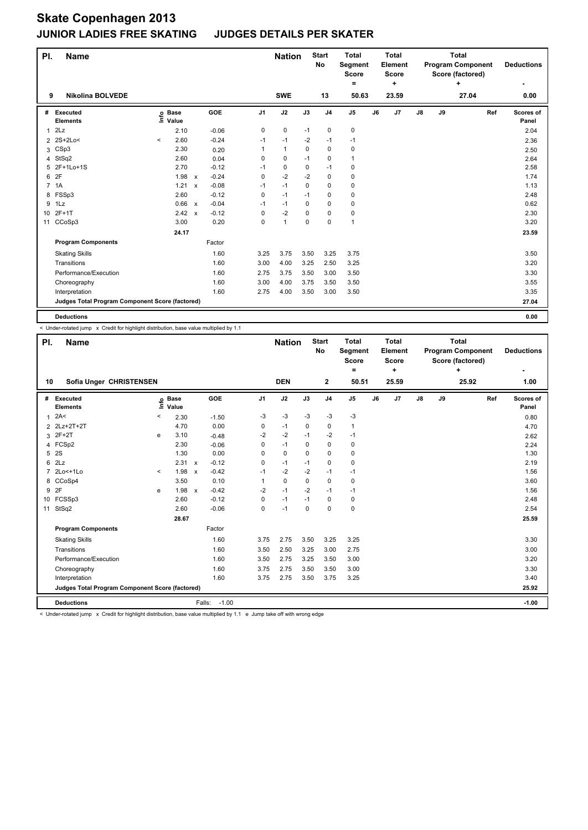| PI.            | <b>Name</b>                                     |         |                            |              |         |                | <b>Nation</b> |          | <b>Start</b><br><b>No</b> | <b>Total</b><br>Segment<br><b>Score</b><br>$=$ |    | <b>Total</b><br>Element<br><b>Score</b><br>٠ |               |    | <b>Total</b><br><b>Program Component</b><br>Score (factored)<br>٠ |     | <b>Deductions</b>  |
|----------------|-------------------------------------------------|---------|----------------------------|--------------|---------|----------------|---------------|----------|---------------------------|------------------------------------------------|----|----------------------------------------------|---------------|----|-------------------------------------------------------------------|-----|--------------------|
| 9              | <b>Nikolina BOLVEDE</b>                         |         |                            |              |         |                | <b>SWE</b>    |          | 13                        | 50.63                                          |    | 23.59                                        |               |    | 27.04                                                             |     | 0.00               |
| #              | Executed<br><b>Elements</b>                     |         | e Base<br>E Value<br>Value |              | GOE     | J <sub>1</sub> | J2            | J3       | J <sub>4</sub>            | $\mathsf{J}5$                                  | J6 | J7                                           | $\mathsf{J}8$ | J9 |                                                                   | Ref | Scores of<br>Panel |
| 1              | 2Lz                                             |         | 2.10                       |              | $-0.06$ | 0              | 0             | $-1$     | 0                         | 0                                              |    |                                              |               |    |                                                                   |     | 2.04               |
|                | 2 2S+2Lo<                                       | $\prec$ | 2.60                       |              | $-0.24$ | $-1$           | $-1$          | $-2$     | $-1$                      | $-1$                                           |    |                                              |               |    |                                                                   |     | 2.36               |
| 3              | CSp3                                            |         | 2.30                       |              | 0.20    | 1              | $\mathbf{1}$  | $\Omega$ | $\mathbf 0$               | 0                                              |    |                                              |               |    |                                                                   |     | 2.50               |
| 4              | StSq2                                           |         | 2.60                       |              | 0.04    | 0              | 0             | $-1$     | 0                         | $\mathbf{1}$                                   |    |                                              |               |    |                                                                   |     | 2.64               |
| 5              | 2F+1Lo+1S                                       |         | 2.70                       |              | $-0.12$ | $-1$           | 0             | 0        | $-1$                      | 0                                              |    |                                              |               |    |                                                                   |     | 2.58               |
| 6              | 2F                                              |         | 1.98                       | $\mathsf{x}$ | $-0.24$ | 0              | $-2$          | $-2$     | $\mathbf 0$               | 0                                              |    |                                              |               |    |                                                                   |     | 1.74               |
| $\overline{7}$ | 1A                                              |         | 1.21                       | $\mathsf{x}$ | $-0.08$ | $-1$           | $-1$          | 0        | 0                         | 0                                              |    |                                              |               |    |                                                                   |     | 1.13               |
| 8              | FSSp3                                           |         | 2.60                       |              | $-0.12$ | 0              | $-1$          | $-1$     | $\mathbf 0$               | 0                                              |    |                                              |               |    |                                                                   |     | 2.48               |
| 9              | 1Lz                                             |         | 0.66 x                     |              | $-0.04$ | $-1$           | $-1$          | 0        | $\mathbf 0$               | 0                                              |    |                                              |               |    |                                                                   |     | 0.62               |
| 10             | $2F+1T$                                         |         | 2.42                       | $\mathsf{x}$ | $-0.12$ | 0              | $-2$          | 0        | $\mathbf 0$               | 0                                              |    |                                              |               |    |                                                                   |     | 2.30               |
| 11             | CCoSp3                                          |         | 3.00                       |              | 0.20    | 0              | $\mathbf{1}$  | 0        | 0                         | $\mathbf{1}$                                   |    |                                              |               |    |                                                                   |     | 3.20               |
|                |                                                 |         | 24.17                      |              |         |                |               |          |                           |                                                |    |                                              |               |    |                                                                   |     | 23.59              |
|                | <b>Program Components</b>                       |         |                            |              | Factor  |                |               |          |                           |                                                |    |                                              |               |    |                                                                   |     |                    |
|                | <b>Skating Skills</b>                           |         |                            |              | 1.60    | 3.25           | 3.75          | 3.50     | 3.25                      | 3.75                                           |    |                                              |               |    |                                                                   |     | 3.50               |
|                | Transitions                                     |         |                            |              | 1.60    | 3.00           | 4.00          | 3.25     | 2.50                      | 3.25                                           |    |                                              |               |    |                                                                   |     | 3.20               |
|                | Performance/Execution                           |         |                            |              | 1.60    | 2.75           | 3.75          | 3.50     | 3.00                      | 3.50                                           |    |                                              |               |    |                                                                   |     | 3.30               |
|                | Choreography                                    |         |                            |              | 1.60    | 3.00           | 4.00          | 3.75     | 3.50                      | 3.50                                           |    |                                              |               |    |                                                                   |     | 3.55               |
|                | Interpretation                                  |         |                            |              | 1.60    | 2.75           | 4.00          | 3.50     | 3.00                      | 3.50                                           |    |                                              |               |    |                                                                   |     | 3.35               |
|                | Judges Total Program Component Score (factored) |         |                            |              |         |                |               |          |                           |                                                |    |                                              |               |    |                                                                   |     | 27.04              |
|                | <b>Deductions</b>                               |         |                            |              |         |                |               |          |                           |                                                |    |                                              |               |    |                                                                   |     | 0.00               |

< Under-rotated jump x Credit for highlight distribution, base value multiplied by 1.1

| PI.          | <b>Name</b>                                     |         |                            |        |         |                | <b>Nation</b> |             | <b>Start</b><br>No | <b>Total</b><br>Segment<br><b>Score</b><br>٠ |    | <b>Total</b><br>Element<br><b>Score</b><br>÷ |               |    | <b>Total</b><br><b>Program Component</b><br>Score (factored)<br>÷ |     | <b>Deductions</b>         |
|--------------|-------------------------------------------------|---------|----------------------------|--------|---------|----------------|---------------|-------------|--------------------|----------------------------------------------|----|----------------------------------------------|---------------|----|-------------------------------------------------------------------|-----|---------------------------|
| 10           | Sofia Unger CHRISTENSEN                         |         |                            |        |         |                | <b>DEN</b>    |             | $\mathbf{2}$       | 50.51                                        |    | 25.59                                        |               |    | 25.92                                                             |     | 1.00                      |
|              | # Executed<br><b>Elements</b>                   |         | e Base<br>E Value<br>Value |        | GOE     | J <sub>1</sub> | J2            | J3          | J <sub>4</sub>     | J <sub>5</sub>                               | J6 | J7                                           | $\mathsf{J}8$ | J9 |                                                                   | Ref | <b>Scores of</b><br>Panel |
| $\mathbf{1}$ | 2A<                                             | $\,<\,$ | 2.30                       |        | $-1.50$ | $-3$           | $-3$          | $-3$        | $-3$               | $-3$                                         |    |                                              |               |    |                                                                   |     | 0.80                      |
|              | 2 2Lz+2T+2T                                     |         | 4.70                       |        | 0.00    | 0              | $-1$          | $\mathbf 0$ | 0                  | 1                                            |    |                                              |               |    |                                                                   |     | 4.70                      |
| 3            | 2F+2T                                           | e       | 3.10                       |        | $-0.48$ | $-2$           | $-2$          | $-1$        | $-2$               | $-1$                                         |    |                                              |               |    |                                                                   |     | 2.62                      |
|              | 4 FCSp2                                         |         | 2.30                       |        | $-0.06$ | 0              | $-1$          | 0           | 0                  | 0                                            |    |                                              |               |    |                                                                   |     | 2.24                      |
|              | 5 2S                                            |         | 1.30                       |        | 0.00    | $\Omega$       | 0             | $\Omega$    | $\mathbf 0$        | 0                                            |    |                                              |               |    |                                                                   |     | 1.30                      |
|              | 62Lz                                            |         | $2.31 \times$              |        | $-0.12$ | 0              | $-1$          | $-1$        | $\mathbf 0$        | 0                                            |    |                                              |               |    |                                                                   |     | 2.19                      |
|              | 7 2Lo<+1Lo                                      | $\prec$ | 1.98 x                     |        | $-0.42$ | $-1$           | $-2$          | $-2$        | $-1$               | $-1$                                         |    |                                              |               |    |                                                                   |     | 1.56                      |
| 8            | CCoSp4                                          |         | 3.50                       |        | 0.10    | 1              | 0             | 0           | $\mathbf 0$        | 0                                            |    |                                              |               |    |                                                                   |     | 3.60                      |
| 9            | 2F                                              | e       | $1.98 \times$              |        | $-0.42$ | $-2$           | $-1$          | $-2$        | $-1$               | $-1$                                         |    |                                              |               |    |                                                                   |     | 1.56                      |
|              | 10 FCSSp3                                       |         | 2.60                       |        | $-0.12$ | $\Omega$       | $-1$          | $-1$        | 0                  | 0                                            |    |                                              |               |    |                                                                   |     | 2.48                      |
|              | 11 StSq2                                        |         | 2.60                       |        | $-0.06$ | $\Omega$       | $-1$          | $\Omega$    | $\Omega$           | 0                                            |    |                                              |               |    |                                                                   |     | 2.54                      |
|              |                                                 |         | 28.67                      |        |         |                |               |             |                    |                                              |    |                                              |               |    |                                                                   |     | 25.59                     |
|              | <b>Program Components</b>                       |         |                            |        | Factor  |                |               |             |                    |                                              |    |                                              |               |    |                                                                   |     |                           |
|              | <b>Skating Skills</b>                           |         |                            |        | 1.60    | 3.75           | 2.75          | 3.50        | 3.25               | 3.25                                         |    |                                              |               |    |                                                                   |     | 3.30                      |
|              | Transitions                                     |         |                            |        | 1.60    | 3.50           | 2.50          | 3.25        | 3.00               | 2.75                                         |    |                                              |               |    |                                                                   |     | 3.00                      |
|              | Performance/Execution                           |         |                            |        | 1.60    | 3.50           | 2.75          | 3.25        | 3.50               | 3.00                                         |    |                                              |               |    |                                                                   |     | 3.20                      |
|              | Choreography                                    |         |                            |        | 1.60    | 3.75           | 2.75          | 3.50        | 3.50               | 3.00                                         |    |                                              |               |    |                                                                   |     | 3.30                      |
|              | Interpretation                                  |         |                            |        | 1.60    | 3.75           | 2.75          | 3.50        | 3.75               | 3.25                                         |    |                                              |               |    |                                                                   |     | 3.40                      |
|              | Judges Total Program Component Score (factored) |         |                            |        |         |                |               |             |                    |                                              |    |                                              |               |    |                                                                   |     | 25.92                     |
|              | <b>Deductions</b>                               |         |                            | Falls: | $-1.00$ |                |               |             |                    |                                              |    |                                              |               |    |                                                                   |     | $-1.00$                   |

< Under-rotated jump x Credit for highlight distribution, base value multiplied by 1.1 e Jump take off with wrong edge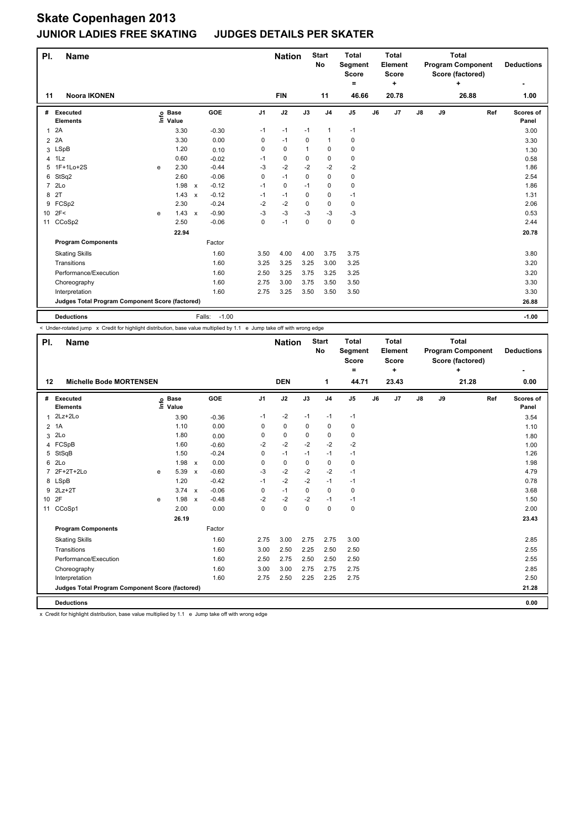| PI.             | Name                                            |   |                            |              |         |                | <b>Nation</b> |             | <b>Start</b><br><b>No</b> | <b>Total</b><br>Segment<br><b>Score</b><br>$=$ |    | <b>Total</b><br>Element<br>Score<br>÷ |               |    | <b>Total</b><br><b>Program Component</b><br>Score (factored)<br>٠ |     | <b>Deductions</b>  |
|-----------------|-------------------------------------------------|---|----------------------------|--------------|---------|----------------|---------------|-------------|---------------------------|------------------------------------------------|----|---------------------------------------|---------------|----|-------------------------------------------------------------------|-----|--------------------|
| 11              | <b>Noora IKONEN</b>                             |   |                            |              |         |                | <b>FIN</b>    |             | 11                        | 46.66                                          |    | 20.78                                 |               |    | 26.88                                                             |     | 1.00               |
| #               | Executed<br><b>Elements</b>                     |   | e Base<br>⊑ Value<br>Value |              | GOE     | J <sub>1</sub> | J2            | J3          | J <sub>4</sub>            | J <sub>5</sub>                                 | J6 | J <sub>7</sub>                        | $\mathsf{J}8$ | J9 |                                                                   | Ref | Scores of<br>Panel |
| $\mathbf{1}$    | 2A                                              |   | 3.30                       |              | $-0.30$ | $-1$           | $-1$          | $-1$        | $\mathbf{1}$              | $-1$                                           |    |                                       |               |    |                                                                   |     | 3.00               |
| $\overline{2}$  | 2A                                              |   | 3.30                       |              | 0.00    | 0              | $-1$          | 0           | $\mathbf{1}$              | 0                                              |    |                                       |               |    |                                                                   |     | 3.30               |
| 3               | LSpB                                            |   | 1.20                       |              | 0.10    | 0              | $\mathbf 0$   | 1           | $\mathbf 0$               | 0                                              |    |                                       |               |    |                                                                   |     | 1.30               |
| 4               | 1Lz                                             |   | 0.60                       |              | $-0.02$ | $-1$           | 0             | 0           | $\mathbf 0$               | 0                                              |    |                                       |               |    |                                                                   |     | 0.58               |
| 5               | 1F+1Lo+2S                                       | e | 2.30                       |              | $-0.44$ | -3             | $-2$          | $-2$        | $-2$                      | $-2$                                           |    |                                       |               |    |                                                                   |     | 1.86               |
| 6               | StSq2                                           |   | 2.60                       |              | $-0.06$ | 0              | $-1$          | 0           | $\mathbf 0$               | 0                                              |    |                                       |               |    |                                                                   |     | 2.54               |
| $\overline{7}$  | 2 <sub>LO</sub>                                 |   | 1.98                       | $\mathsf{x}$ | $-0.12$ | $-1$           | $\mathbf 0$   | $-1$        | $\mathbf 0$               | 0                                              |    |                                       |               |    |                                                                   |     | 1.86               |
| 8               | 2T                                              |   | 1.43                       | $\mathsf{x}$ | $-0.12$ | $-1$           | $-1$          | 0           | $\mathbf 0$               | $-1$                                           |    |                                       |               |    |                                                                   |     | 1.31               |
| 9               | FCSp2                                           |   | 2.30                       |              | $-0.24$ | $-2$           | $-2$          | 0           | 0                         | 0                                              |    |                                       |               |    |                                                                   |     | 2.06               |
| 10 <sup>1</sup> | 2F<                                             | e | 1.43                       | $\mathsf{x}$ | $-0.90$ | -3             | -3            | $-3$        | $-3$                      | $-3$                                           |    |                                       |               |    |                                                                   |     | 0.53               |
| 11              | CCoSp2                                          |   | 2.50                       |              | $-0.06$ | 0              | $-1$          | $\mathbf 0$ | $\mathbf 0$               | 0                                              |    |                                       |               |    |                                                                   |     | 2.44               |
|                 |                                                 |   | 22.94                      |              |         |                |               |             |                           |                                                |    |                                       |               |    |                                                                   |     | 20.78              |
|                 | <b>Program Components</b>                       |   |                            |              | Factor  |                |               |             |                           |                                                |    |                                       |               |    |                                                                   |     |                    |
|                 | <b>Skating Skills</b>                           |   |                            |              | 1.60    | 3.50           | 4.00          | 4.00        | 3.75                      | 3.75                                           |    |                                       |               |    |                                                                   |     | 3.80               |
|                 | Transitions                                     |   |                            |              | 1.60    | 3.25           | 3.25          | 3.25        | 3.00                      | 3.25                                           |    |                                       |               |    |                                                                   |     | 3.20               |
|                 | Performance/Execution                           |   |                            |              | 1.60    | 2.50           | 3.25          | 3.75        | 3.25                      | 3.25                                           |    |                                       |               |    |                                                                   |     | 3.20               |
|                 | Choreography                                    |   |                            |              | 1.60    | 2.75           | 3.00          | 3.75        | 3.50                      | 3.50                                           |    |                                       |               |    |                                                                   |     | 3.30               |
|                 | Interpretation                                  |   |                            |              | 1.60    | 2.75           | 3.25          | 3.50        | 3.50                      | 3.50                                           |    |                                       |               |    |                                                                   |     | 3.30               |
|                 | Judges Total Program Component Score (factored) |   |                            |              |         |                |               |             |                           |                                                |    |                                       |               |    |                                                                   |     | 26.88              |
|                 | <b>Deductions</b>                               |   |                            | Falls:       | $-1.00$ |                |               |             |                           |                                                |    |                                       |               |    |                                                                   |     | $-1.00$            |

< Under-rotated jump x Credit for highlight distribution, base value multiplied by 1.1 e Jump take off with wrong edge

| PI.            | <b>Name</b>                                     |                                  |                      |                           |         |                | <b>Nation</b> |             | <b>Start</b><br>No | <b>Total</b><br>Segment<br><b>Score</b> |    | <b>Total</b><br>Element<br><b>Score</b> |               |    | <b>Total</b><br><b>Program Component</b><br>Score (factored) |     | <b>Deductions</b>  |
|----------------|-------------------------------------------------|----------------------------------|----------------------|---------------------------|---------|----------------|---------------|-------------|--------------------|-----------------------------------------|----|-----------------------------------------|---------------|----|--------------------------------------------------------------|-----|--------------------|
|                |                                                 |                                  |                      |                           |         |                |               |             |                    | $\qquad \qquad =$                       |    | ÷                                       |               |    | ÷                                                            |     | ٠                  |
| 12             | <b>Michelle Bode MORTENSEN</b>                  |                                  |                      |                           |         |                | <b>DEN</b>    |             | 1                  | 44.71                                   |    | 23.43                                   |               |    | 21.28                                                        |     | 0.00               |
| #              | Executed<br><b>Elements</b>                     | $\mathop{\mathsf{Int}}\nolimits$ | <b>Base</b><br>Value |                           | GOE     | J <sub>1</sub> | J2            | J3          | J <sub>4</sub>     | J5                                      | J6 | J7                                      | $\mathsf{J}8$ | J9 |                                                              | Ref | Scores of<br>Panel |
| 1              | $2Lz+2Lo$                                       |                                  | 3.90                 |                           | $-0.36$ | $-1$           | $-2$          | $-1$        | $-1$               | $-1$                                    |    |                                         |               |    |                                                              |     | 3.54               |
|                | 2 1A                                            |                                  | 1.10                 |                           | 0.00    | 0              | $\mathbf 0$   | 0           | 0                  | 0                                       |    |                                         |               |    |                                                              |     | 1.10               |
| 3              | 2Lo                                             |                                  | 1.80                 |                           | 0.00    | 0              | 0             | 0           | $\mathbf 0$        | 0                                       |    |                                         |               |    |                                                              |     | 1.80               |
| 4              | FCSpB                                           |                                  | 1.60                 |                           | $-0.60$ | $-2$           | $-2$          | $-2$        | $-2$               | $-2$                                    |    |                                         |               |    |                                                              |     | 1.00               |
|                | 5 StSqB                                         |                                  | 1.50                 |                           | $-0.24$ | 0              | $-1$          | $-1$        | $-1$               | $-1$                                    |    |                                         |               |    |                                                              |     | 1.26               |
| 6              | 2Lo                                             |                                  | 1.98 x               |                           | 0.00    | 0              | 0             | 0           | 0                  | 0                                       |    |                                         |               |    |                                                              |     | 1.98               |
| $\overline{7}$ | 2F+2T+2Lo                                       | e                                | 5.39                 | $\mathsf{x}$              | $-0.60$ | $-3$           | $-2$          | $-2$        | $-2$               | $-1$                                    |    |                                         |               |    |                                                              |     | 4.79               |
|                | 8 LSpB                                          |                                  | 1.20                 |                           | $-0.42$ | $-1$           | $-2$          | $-2$        | $-1$               | $-1$                                    |    |                                         |               |    |                                                              |     | 0.78               |
|                | 9 2Lz+2T                                        |                                  | 3.74 x               |                           | $-0.06$ | 0              | $-1$          | 0           | $\mathbf 0$        | 0                                       |    |                                         |               |    |                                                              |     | 3.68               |
| 10 2F          |                                                 | e                                | 1.98                 | $\boldsymbol{\mathsf{x}}$ | $-0.48$ | $-2$           | $-2$          | $-2$        | $-1$               | $-1$                                    |    |                                         |               |    |                                                              |     | 1.50               |
|                | 11 CCoSp1                                       |                                  | 2.00                 |                           | 0.00    | 0              | $\mathbf 0$   | $\mathbf 0$ | $\mathbf 0$        | 0                                       |    |                                         |               |    |                                                              |     | 2.00               |
|                |                                                 |                                  | 26.19                |                           |         |                |               |             |                    |                                         |    |                                         |               |    |                                                              |     | 23.43              |
|                | <b>Program Components</b>                       |                                  |                      |                           | Factor  |                |               |             |                    |                                         |    |                                         |               |    |                                                              |     |                    |
|                | <b>Skating Skills</b>                           |                                  |                      |                           | 1.60    | 2.75           | 3.00          | 2.75        | 2.75               | 3.00                                    |    |                                         |               |    |                                                              |     | 2.85               |
|                | Transitions                                     |                                  |                      |                           | 1.60    | 3.00           | 2.50          | 2.25        | 2.50               | 2.50                                    |    |                                         |               |    |                                                              |     | 2.55               |
|                | Performance/Execution                           |                                  |                      |                           | 1.60    | 2.50           | 2.75          | 2.50        | 2.50               | 2.50                                    |    |                                         |               |    |                                                              |     | 2.55               |
|                | Choreography                                    |                                  |                      |                           | 1.60    | 3.00           | 3.00          | 2.75        | 2.75               | 2.75                                    |    |                                         |               |    |                                                              |     | 2.85               |
|                | Interpretation                                  |                                  |                      |                           | 1.60    | 2.75           | 2.50          | 2.25        | 2.25               | 2.75                                    |    |                                         |               |    |                                                              |     | 2.50               |
|                | Judges Total Program Component Score (factored) |                                  |                      |                           |         |                |               |             |                    |                                         |    |                                         |               |    |                                                              |     | 21.28              |
|                | <b>Deductions</b>                               |                                  |                      |                           |         |                |               |             |                    |                                         |    |                                         |               |    |                                                              |     | 0.00               |

x Credit for highlight distribution, base value multiplied by 1.1 e Jump take off with wrong edge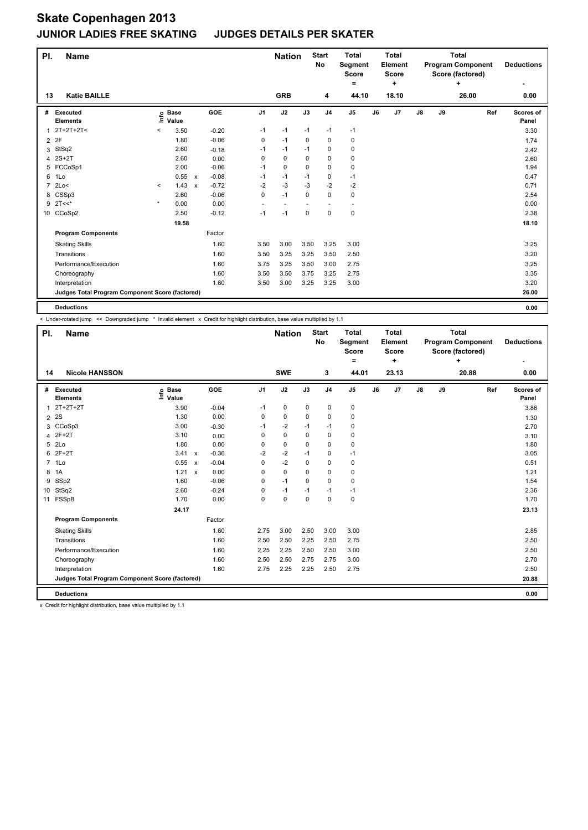| PI.            | <b>Name</b>                                     |         |                      |                           |         |                          | <b>Nation</b>            |             | <b>Start</b><br>No | <b>Total</b><br>Segment<br><b>Score</b> |    | <b>Total</b><br>Element<br>Score |               |    | <b>Total</b><br><b>Program Component</b><br>Score (factored) |     | <b>Deductions</b>  |
|----------------|-------------------------------------------------|---------|----------------------|---------------------------|---------|--------------------------|--------------------------|-------------|--------------------|-----------------------------------------|----|----------------------------------|---------------|----|--------------------------------------------------------------|-----|--------------------|
| 13             | <b>Katie BAILLE</b>                             |         |                      |                           |         |                          | <b>GRB</b>               |             |                    | =<br>44.10                              |    | ÷<br>18.10                       |               |    | ÷<br>26.00                                                   |     | ۰<br>0.00          |
|                |                                                 |         |                      |                           |         |                          |                          |             | 4                  |                                         |    |                                  |               |    |                                                              |     |                    |
| #              | Executed<br><b>Elements</b>                     | lnfo    | <b>Base</b><br>Value |                           | GOE     | J <sub>1</sub>           | J2                       | J3          | J <sub>4</sub>     | J <sub>5</sub>                          | J6 | J7                               | $\mathsf{J}8$ | J9 |                                                              | Ref | Scores of<br>Panel |
| 1              | $2T+2T+2T<$                                     | $\,<$   | 3.50                 |                           | $-0.20$ | $-1$                     | $-1$                     | $-1$        | $-1$               | $-1$                                    |    |                                  |               |    |                                                              |     | 3.30               |
| $\overline{2}$ | 2F                                              |         | 1.80                 |                           | $-0.06$ | 0                        | $-1$                     | 0           | 0                  | 0                                       |    |                                  |               |    |                                                              |     | 1.74               |
| 3              | StSq2                                           |         | 2.60                 |                           | $-0.18$ | $-1$                     | $-1$                     | $-1$        | $\mathbf 0$        | $\pmb{0}$                               |    |                                  |               |    |                                                              |     | 2.42               |
| 4              | $2S+2T$                                         |         | 2.60                 |                           | 0.00    | 0                        | $\mathbf 0$              | $\Omega$    | $\mathbf 0$        | $\pmb{0}$                               |    |                                  |               |    |                                                              |     | 2.60               |
|                | 5 FCCoSp1                                       |         | 2.00                 |                           | $-0.06$ | $-1$                     | $\mathbf 0$              | 0           | $\mathbf 0$        | 0                                       |    |                                  |               |    |                                                              |     | 1.94               |
| 6              | 1Lo                                             |         | 0.55                 | $\mathsf{x}$              | $-0.08$ | $-1$                     | $-1$                     | $-1$        | 0                  | $-1$                                    |    |                                  |               |    |                                                              |     | 0.47               |
| $\overline{7}$ | 2Lo<                                            | $\prec$ | 1.43                 | $\boldsymbol{\mathsf{x}}$ | $-0.72$ | $-2$                     | $-3$                     | $-3$        | $-2$               | $-2$                                    |    |                                  |               |    |                                                              |     | 0.71               |
| 8              | CSSp3                                           |         | 2.60                 |                           | $-0.06$ | 0                        | $-1$                     | $\mathbf 0$ | $\mathbf 0$        | $\pmb{0}$                               |    |                                  |               |    |                                                              |     | 2.54               |
| 9              | $2T<<$ *                                        | $\star$ | 0.00                 |                           | 0.00    | $\overline{\phantom{a}}$ | $\overline{\phantom{a}}$ |             | ٠                  | $\overline{\phantom{a}}$                |    |                                  |               |    |                                                              |     | 0.00               |
|                | 10 CCoSp2                                       |         | 2.50                 |                           | $-0.12$ | $-1$                     | $-1$                     | $\mathbf 0$ | $\mathbf 0$        | $\pmb{0}$                               |    |                                  |               |    |                                                              |     | 2.38               |
|                |                                                 |         | 19.58                |                           |         |                          |                          |             |                    |                                         |    |                                  |               |    |                                                              |     | 18.10              |
|                | <b>Program Components</b>                       |         |                      |                           | Factor  |                          |                          |             |                    |                                         |    |                                  |               |    |                                                              |     |                    |
|                | <b>Skating Skills</b>                           |         |                      |                           | 1.60    | 3.50                     | 3.00                     | 3.50        | 3.25               | 3.00                                    |    |                                  |               |    |                                                              |     | 3.25               |
|                | Transitions                                     |         |                      |                           | 1.60    | 3.50                     | 3.25                     | 3.25        | 3.50               | 2.50                                    |    |                                  |               |    |                                                              |     | 3.20               |
|                | Performance/Execution                           |         |                      |                           | 1.60    | 3.75                     | 3.25                     | 3.50        | 3.00               | 2.75                                    |    |                                  |               |    |                                                              |     | 3.25               |
|                | Choreography                                    |         |                      |                           | 1.60    | 3.50                     | 3.50                     | 3.75        | 3.25               | 2.75                                    |    |                                  |               |    |                                                              |     | 3.35               |
|                | Interpretation                                  |         |                      |                           | 1.60    | 3.50                     | 3.00                     | 3.25        | 3.25               | 3.00                                    |    |                                  |               |    |                                                              |     | 3.20               |
|                | Judges Total Program Component Score (factored) |         |                      |                           |         |                          |                          |             |                    |                                         |    |                                  |               |    |                                                              |     | 26.00              |
|                | <b>Deductions</b>                               |         |                      |                           |         |                          |                          |             |                    |                                         |    |                                  |               |    |                                                              |     | 0.00               |

< Under-rotated jump << Downgraded jump \* Invalid element x Credit for highlight distribution, base value multiplied by 1.1

| PI.            | <b>Name</b>                                     |                                                          |                           |         |                | <b>Nation</b> |             | <b>Start</b><br><b>No</b> | <b>Total</b><br>Segment<br><b>Score</b><br>$=$ | Total<br>Element<br><b>Score</b><br>÷ |       | Total<br><b>Program Component</b><br>Score (factored)<br>÷ |    |       |     | <b>Deductions</b><br>۰ |
|----------------|-------------------------------------------------|----------------------------------------------------------|---------------------------|---------|----------------|---------------|-------------|---------------------------|------------------------------------------------|---------------------------------------|-------|------------------------------------------------------------|----|-------|-----|------------------------|
| 14             | <b>Nicole HANSSON</b>                           |                                                          |                           |         |                | <b>SWE</b>    |             | 3                         | 44.01                                          |                                       | 23.13 |                                                            |    | 20.88 |     | 0.00                   |
| #              | Executed<br><b>Elements</b>                     | <b>Base</b><br>$\mathop{\mathsf{Irr}}\nolimits$<br>Value |                           | GOE     | J <sub>1</sub> | J2            | J3          | J <sub>4</sub>            | J <sub>5</sub>                                 | J6                                    | J7    | J8                                                         | J9 |       | Ref | Scores of<br>Panel     |
| 1              | $2T+2T+2T$                                      | 3.90                                                     |                           | $-0.04$ | $-1$           | $\pmb{0}$     | $\mathbf 0$ | $\pmb{0}$                 | 0                                              |                                       |       |                                                            |    |       |     | 3.86                   |
| $\overline{2}$ | 2S                                              | 1.30                                                     |                           | 0.00    | 0              | $\mathbf 0$   | 0           | $\mathbf 0$               | $\mathbf 0$                                    |                                       |       |                                                            |    |       |     | 1.30                   |
| 3              | CCoSp3                                          | 3.00                                                     |                           | $-0.30$ | $-1$           | $-2$          | $-1$        | $-1$                      | 0                                              |                                       |       |                                                            |    |       |     | 2.70                   |
| 4              | $2F+2T$                                         | 3.10                                                     |                           | 0.00    | 0              | $\mathbf 0$   | $\mathbf 0$ | $\mathbf 0$               | $\mathbf 0$                                    |                                       |       |                                                            |    |       |     | 3.10                   |
| 5              | 2 <sub>LO</sub>                                 | 1.80                                                     |                           | 0.00    | 0              | $\mathbf 0$   | $\Omega$    | $\Omega$                  | $\mathbf 0$                                    |                                       |       |                                                            |    |       |     | 1.80                   |
| 6              | $2F+2T$                                         | 3.41                                                     | $\mathsf{x}$              | $-0.36$ | $-2$           | $-2$          | $-1$        | $\mathbf 0$               | $-1$                                           |                                       |       |                                                            |    |       |     | 3.05                   |
| $\overline{7}$ | 1Lo                                             | 0.55                                                     | $\boldsymbol{\mathsf{x}}$ | $-0.04$ | 0              | $-2$          | $\Omega$    | 0                         | 0                                              |                                       |       |                                                            |    |       |     | 0.51                   |
| 8              | 1A                                              | 1.21                                                     | $\mathsf{x}$              | 0.00    | 0              | $\mathbf 0$   | $\Omega$    | $\mathbf 0$               | $\mathbf 0$                                    |                                       |       |                                                            |    |       |     | 1.21                   |
| 9              | SSp2                                            | 1.60                                                     |                           | $-0.06$ | 0              | $-1$          | $\mathbf 0$ | $\mathbf 0$               | $\mathbf 0$                                    |                                       |       |                                                            |    |       |     | 1.54                   |
| 10             | StSq2                                           | 2.60                                                     |                           | $-0.24$ | 0              | $-1$          | $-1$        | $-1$                      | $-1$                                           |                                       |       |                                                            |    |       |     | 2.36                   |
| 11             | FSSpB                                           | 1.70                                                     |                           | 0.00    | 0              | $\mathbf 0$   | $\mathbf 0$ | $\mathbf 0$               | $\pmb{0}$                                      |                                       |       |                                                            |    |       |     | 1.70                   |
|                |                                                 | 24.17                                                    |                           |         |                |               |             |                           |                                                |                                       |       |                                                            |    |       |     | 23.13                  |
|                | <b>Program Components</b>                       |                                                          |                           | Factor  |                |               |             |                           |                                                |                                       |       |                                                            |    |       |     |                        |
|                | <b>Skating Skills</b>                           |                                                          |                           | 1.60    | 2.75           | 3.00          | 2.50        | 3.00                      | 3.00                                           |                                       |       |                                                            |    |       |     | 2.85                   |
|                | Transitions                                     |                                                          |                           | 1.60    | 2.50           | 2.50          | 2.25        | 2.50                      | 2.75                                           |                                       |       |                                                            |    |       |     | 2.50                   |
|                | Performance/Execution                           |                                                          |                           | 1.60    | 2.25           | 2.25          | 2.50        | 2.50                      | 3.00                                           |                                       |       |                                                            |    |       |     | 2.50                   |
|                | Choreography                                    |                                                          |                           | 1.60    | 2.50           | 2.50          | 2.75        | 2.75                      | 3.00                                           |                                       |       |                                                            |    |       |     | 2.70                   |
|                | Interpretation                                  |                                                          |                           | 1.60    | 2.75           | 2.25          | 2.25        | 2.50                      | 2.75                                           |                                       |       |                                                            |    |       |     | 2.50                   |
|                | Judges Total Program Component Score (factored) |                                                          |                           |         |                |               |             |                           |                                                |                                       |       |                                                            |    |       |     | 20.88                  |
|                | <b>Deductions</b>                               |                                                          |                           |         |                |               |             |                           |                                                |                                       |       |                                                            |    |       |     | 0.00                   |

x Credit for highlight distribution, base value multiplied by 1.1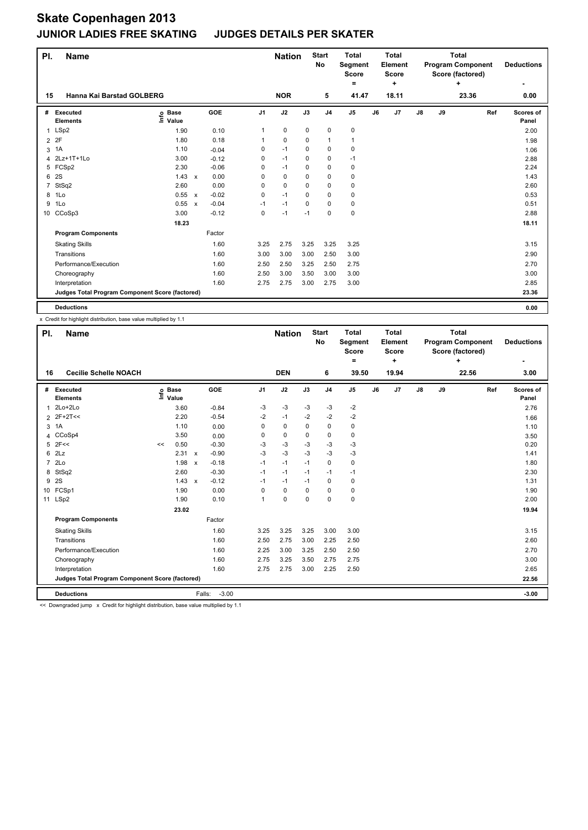| PI.            | <b>Name</b>                                     |                              |                           |         |                | <b>Nation</b> |             | <b>Start</b><br>No | <b>Total</b><br>Segment<br><b>Score</b> |    | <b>Total</b><br>Element<br><b>Score</b> |    |    | <b>Total</b><br><b>Program Component</b><br>Score (factored) |     | <b>Deductions</b>  |
|----------------|-------------------------------------------------|------------------------------|---------------------------|---------|----------------|---------------|-------------|--------------------|-----------------------------------------|----|-----------------------------------------|----|----|--------------------------------------------------------------|-----|--------------------|
|                |                                                 |                              |                           |         |                | <b>NOR</b>    |             |                    | =                                       |    | ÷                                       |    |    | ÷                                                            |     | ٠                  |
| 15             | Hanna Kai Barstad GOLBERG                       |                              |                           |         |                |               |             | 5                  | 41.47                                   |    | 18.11                                   |    |    | 23.36                                                        |     | 0.00               |
| #              | Executed<br><b>Elements</b>                     | <b>Base</b><br>١nfo<br>Value |                           | GOE     | J <sub>1</sub> | J2            | J3          | J <sub>4</sub>     | J5                                      | J6 | J7                                      | J8 | J9 |                                                              | Ref | Scores of<br>Panel |
|                | 1 LSp2                                          | 1.90                         |                           | 0.10    | 1              | 0             | 0           | $\mathbf 0$        | 0                                       |    |                                         |    |    |                                                              |     | 2.00               |
| $\overline{2}$ | 2F                                              | 1.80                         |                           | 0.18    | 1              | 0             | 0           | $\mathbf{1}$       | 1                                       |    |                                         |    |    |                                                              |     | 1.98               |
| 3              | 1A                                              | 1.10                         |                           | $-0.04$ | 0              | $-1$          | $\mathbf 0$ | 0                  | $\pmb{0}$                               |    |                                         |    |    |                                                              |     | 1.06               |
| 4              | 2Lz+1T+1Lo                                      | 3.00                         |                           | $-0.12$ | 0              | $-1$          | 0           | 0                  | $-1$                                    |    |                                         |    |    |                                                              |     | 2.88               |
| 5              | FCSp2                                           | 2.30                         |                           | $-0.06$ | 0              | $-1$          | 0           | $\mathbf 0$        | 0                                       |    |                                         |    |    |                                                              |     | 2.24               |
| 6              | 2S                                              | 1.43                         | $\mathsf{x}$              | 0.00    | 0              | $\mathbf 0$   | 0           | $\mathbf 0$        | 0                                       |    |                                         |    |    |                                                              |     | 1.43               |
| 7              | StSq2                                           | 2.60                         |                           | 0.00    | 0              | 0             | 0           | 0                  | $\mathbf 0$                             |    |                                         |    |    |                                                              |     | 2.60               |
| 8              | 1Lo                                             | 0.55                         | $\mathsf{x}$              | $-0.02$ | 0              | $-1$          | 0           | $\mathbf 0$        | 0                                       |    |                                         |    |    |                                                              |     | 0.53               |
| 9              | 1Lo                                             | 0.55                         | $\boldsymbol{\mathsf{x}}$ | $-0.04$ | $-1$           | $-1$          | 0           | 0                  | 0                                       |    |                                         |    |    |                                                              |     | 0.51               |
| 10             | CCoSp3                                          | 3.00                         |                           | $-0.12$ | 0              | $-1$          | $-1$        | $\mathbf 0$        | $\pmb{0}$                               |    |                                         |    |    |                                                              |     | 2.88               |
|                |                                                 | 18.23                        |                           |         |                |               |             |                    |                                         |    |                                         |    |    |                                                              |     | 18.11              |
|                | <b>Program Components</b>                       |                              |                           | Factor  |                |               |             |                    |                                         |    |                                         |    |    |                                                              |     |                    |
|                | <b>Skating Skills</b>                           |                              |                           | 1.60    | 3.25           | 2.75          | 3.25        | 3.25               | 3.25                                    |    |                                         |    |    |                                                              |     | 3.15               |
|                | Transitions                                     |                              |                           | 1.60    | 3.00           | 3.00          | 3.00        | 2.50               | 3.00                                    |    |                                         |    |    |                                                              |     | 2.90               |
|                | Performance/Execution                           |                              |                           | 1.60    | 2.50           | 2.50          | 3.25        | 2.50               | 2.75                                    |    |                                         |    |    |                                                              |     | 2.70               |
|                | Choreography                                    |                              |                           | 1.60    | 2.50           | 3.00          | 3.50        | 3.00               | 3.00                                    |    |                                         |    |    |                                                              |     | 3.00               |
|                | Interpretation                                  |                              |                           | 1.60    | 2.75           | 2.75          | 3.00        | 2.75               | 3.00                                    |    |                                         |    |    |                                                              |     | 2.85               |
|                | Judges Total Program Component Score (factored) |                              |                           |         |                |               |             |                    |                                         |    |                                         |    |    |                                                              |     | 23.36              |
|                | <b>Deductions</b>                               |                              |                           |         |                |               |             |                    |                                         |    |                                         |    |    |                                                              |     | 0.00               |

x Credit for highlight distribution, base value multiplied by 1.1

| PI.                                | <b>Name</b>                                     |    |                 |                           |            | <b>Nation</b>  |             | <b>Start</b><br><b>No</b> | <b>Total</b><br>Segment<br><b>Score</b><br>۰ |                | <b>Total</b><br>Element<br><b>Score</b><br>÷ |       | <b>Total</b><br><b>Program Component</b><br>Score (factored)<br>÷ |    |       | <b>Deductions</b> |                    |
|------------------------------------|-------------------------------------------------|----|-----------------|---------------------------|------------|----------------|-------------|---------------------------|----------------------------------------------|----------------|----------------------------------------------|-------|-------------------------------------------------------------------|----|-------|-------------------|--------------------|
| <b>Cecilie Schelle NOACH</b><br>16 |                                                 |    |                 |                           |            |                | <b>DEN</b>  |                           | 6                                            | 39.50          |                                              | 19.94 |                                                                   |    | 22.56 |                   | 3.00               |
| #                                  | Executed<br><b>Elements</b>                     | Ξ  | o Base<br>Value |                           | <b>GOE</b> | J <sub>1</sub> | J2          | J3                        | J <sub>4</sub>                               | J <sub>5</sub> | J6                                           | J7    | $\mathsf{J}8$                                                     | J9 |       | Ref               | Scores of<br>Panel |
| 1                                  | 2Lo+2Lo                                         |    | 3.60            |                           | $-0.84$    | -3             | -3          | -3                        | -3                                           | -2             |                                              |       |                                                                   |    |       |                   | 2.76               |
| 2                                  | $2F+2T<<$                                       |    | 2.20            |                           | $-0.54$    | $-2$           | $-1$        | $-2$                      | $-2$                                         | $-2$           |                                              |       |                                                                   |    |       |                   | 1.66               |
| 3                                  | 1A                                              |    | 1.10            |                           | 0.00       | 0              | $\mathbf 0$ | 0                         | $\mathbf 0$                                  | 0              |                                              |       |                                                                   |    |       |                   | 1.10               |
| 4                                  | CCoSp4                                          |    | 3.50            |                           | 0.00       | 0              | 0           | 0                         | 0                                            | 0              |                                              |       |                                                                   |    |       |                   | 3.50               |
| 5                                  | 2F<<                                            | << | 0.50            |                           | $-0.30$    | $-3$           | $-3$        | $-3$                      | $-3$                                         | $-3$           |                                              |       |                                                                   |    |       |                   | 0.20               |
| 6                                  | 2Lz                                             |    | $2.31 \times$   |                           | $-0.90$    | $-3$           | $-3$        | $-3$                      | $-3$                                         | $-3$           |                                              |       |                                                                   |    |       |                   | 1.41               |
|                                    | 7 2Lo                                           |    | 1.98            | $\boldsymbol{\mathsf{x}}$ | $-0.18$    | $-1$           | $-1$        | $-1$                      | $\Omega$                                     | 0              |                                              |       |                                                                   |    |       |                   | 1.80               |
| 8                                  | StSq2                                           |    | 2.60            |                           | $-0.30$    | $-1$           | $-1$        | $-1$                      | $-1$                                         | $-1$           |                                              |       |                                                                   |    |       |                   | 2.30               |
| 9                                  | 2S                                              |    | 1.43            | $\boldsymbol{\mathsf{x}}$ | $-0.12$    | $-1$           | $-1$        | $-1$                      | 0                                            | 0              |                                              |       |                                                                   |    |       |                   | 1.31               |
| 10 <sup>1</sup>                    | FCSp1                                           |    | 1.90            |                           | 0.00       | $\Omega$       | $\mathbf 0$ | 0                         | 0                                            | 0              |                                              |       |                                                                   |    |       |                   | 1.90               |
|                                    | 11 LSp2                                         |    | 1.90            |                           | 0.10       | 1              | 0           | 0                         | $\mathbf 0$                                  | 0              |                                              |       |                                                                   |    |       |                   | 2.00               |
|                                    |                                                 |    | 23.02           |                           |            |                |             |                           |                                              |                |                                              |       |                                                                   |    |       |                   | 19.94              |
|                                    | <b>Program Components</b>                       |    |                 |                           | Factor     |                |             |                           |                                              |                |                                              |       |                                                                   |    |       |                   |                    |
|                                    | <b>Skating Skills</b>                           |    |                 |                           | 1.60       | 3.25           | 3.25        | 3.25                      | 3.00                                         | 3.00           |                                              |       |                                                                   |    |       |                   | 3.15               |
|                                    | Transitions                                     |    |                 |                           | 1.60       | 2.50           | 2.75        | 3.00                      | 2.25                                         | 2.50           |                                              |       |                                                                   |    |       |                   | 2.60               |
|                                    | Performance/Execution                           |    |                 |                           | 1.60       | 2.25           | 3.00        | 3.25                      | 2.50                                         | 2.50           |                                              |       |                                                                   |    |       |                   | 2.70               |
|                                    | Choreography                                    |    |                 |                           | 1.60       | 2.75           | 3.25        | 3.50                      | 2.75                                         | 2.75           |                                              |       |                                                                   |    |       |                   | 3.00               |
|                                    | Interpretation                                  |    |                 |                           | 1.60       | 2.75           | 2.75        | 3.00                      | 2.25                                         | 2.50           |                                              |       |                                                                   |    |       |                   | 2.65               |
|                                    | Judges Total Program Component Score (factored) |    |                 |                           |            |                |             |                           |                                              |                |                                              |       |                                                                   |    |       |                   | 22.56              |
|                                    | <b>Deductions</b>                               |    |                 | Falls:                    | $-3.00$    |                |             |                           |                                              |                |                                              |       |                                                                   |    |       |                   | $-3.00$            |

<< Downgraded jump x Credit for highlight distribution, base value multiplied by 1.1